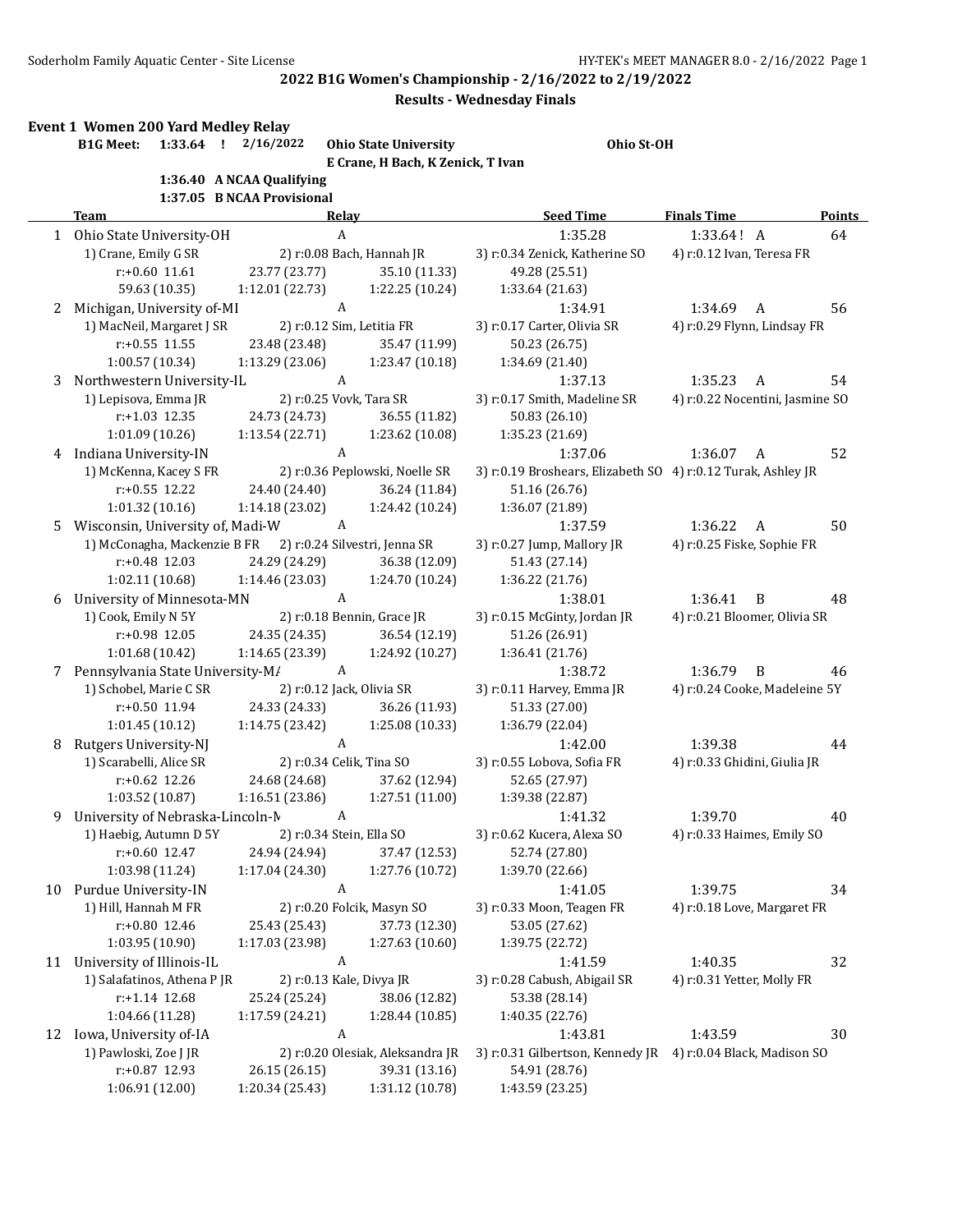|    | Soderholm Family Aquatic Center - Site License |                                  |                                                                   | 2022 B1G Women's Championship - 2/16/2022 to 2/19/2022<br><b>Results - Wednesday Finals</b> | HY-TEK's MEET MANAGER 8.0 - 2/16/2022 Page |        |
|----|------------------------------------------------|----------------------------------|-------------------------------------------------------------------|---------------------------------------------------------------------------------------------|--------------------------------------------|--------|
|    | Event 1 Women 200 Yard Medley Relay            |                                  |                                                                   |                                                                                             |                                            |        |
|    | $1:33.64$ !<br><b>B1G Meet:</b>                | 2/16/2022                        | <b>Ohio State University</b><br>E Crane, H Bach, K Zenick, T Ivan | Ohio St-OH                                                                                  |                                            |        |
|    |                                                | 1:36.40 A NCAA Qualifying        |                                                                   |                                                                                             |                                            |        |
|    |                                                | 1:37.05 B NCAA Provisional       |                                                                   |                                                                                             |                                            |        |
|    | <b>Team</b>                                    |                                  | Relay                                                             | <b>Seed Time</b>                                                                            | <b>Finals Time</b>                         | Points |
|    | 1 Ohio State University-OH                     |                                  | A                                                                 | 1:35.28                                                                                     | 1:33.64! A                                 | 64     |
|    | 1) Crane, Emily G SR                           |                                  | 2) r:0.08 Bach, Hannah JR                                         | 3) r:0.34 Zenick, Katherine SO                                                              | 4) r:0.12 Ivan, Teresa FR                  |        |
|    | $r: +0.60$ 11.61                               | 23.77 (23.77)                    | 35.10 (11.33)                                                     | 49.28 (25.51)                                                                               |                                            |        |
|    | 59.63 (10.35)                                  | 1:12.01 (22.73)                  | 1:22.25 (10.24)                                                   | 1:33.64 (21.63)                                                                             |                                            |        |
|    | 2 Michigan, University of-MI                   |                                  | A                                                                 | 1:34.91                                                                                     | 1:34.69<br>A                               | 56     |
|    | 1) MacNeil, Margaret J SR                      |                                  | 2) r:0.12 Sim, Letitia FR                                         | 3) r:0.17 Carter, Olivia SR                                                                 | 4) r:0.29 Flynn, Lindsay FR                |        |
|    | $r: +0.55$ 11.55                               | 23.48 (23.48)                    | 35.47 (11.99)                                                     | 50.23 (26.75)                                                                               |                                            |        |
|    | 1:00.57 (10.34)                                | 1:13.29(23.06)                   | 1:23.47 (10.18)                                                   | 1:34.69 (21.40)                                                                             |                                            |        |
| 3  | Northwestern University-IL                     |                                  | $\boldsymbol{A}$                                                  | 1:37.13                                                                                     | 1:35.23<br>A                               | 54     |
|    | 1) Lepisova, Emma JR                           |                                  | 2) r:0.25 Vovk, Tara SR                                           | 3) r:0.17 Smith, Madeline SR                                                                | 4) r:0.22 Nocentini, Jasmine SO            |        |
|    | r:+1.03 12.35                                  | 24.73 (24.73)                    | 36.55 (11.82)                                                     | 50.83 (26.10)                                                                               |                                            |        |
|    | 1:01.09(10.26)                                 | 1:13.54 (22.71)                  | 1:23.62 (10.08)                                                   | 1:35.23 (21.69)                                                                             |                                            |        |
|    | 4 Indiana University-IN                        |                                  | A                                                                 | 1:37.06                                                                                     | 1:36.07<br>A                               | 52     |
|    | 1) McKenna, Kacey S FR                         |                                  | 2) r:0.36 Peplowski, Noelle SR                                    | 3) r:0.19 Broshears, Elizabeth SO 4) r:0.12 Turak, Ashley JR                                |                                            |        |
|    | $r: +0.55$ 12.22<br>1:01.32(10.16)             | 24.40 (24.40)<br>1:14.18 (23.02) | 36.24 (11.84)<br>1:24.42 (10.24)                                  | 51.16 (26.76)<br>1:36.07 (21.89)                                                            |                                            |        |
|    | Wisconsin, University of, Madi-W               |                                  | A                                                                 | 1:37.59                                                                                     | 1:36.22<br>A                               | 50     |
| 5. | 1) McConagha, Mackenzie B FR                   |                                  | 2) r:0.24 Silvestri, Jenna SR                                     | 3) r:0.27 Jump, Mallory JR                                                                  | 4) r:0.25 Fiske, Sophie FR                 |        |
|    | $r: +0.48$ 12.03                               | 24.29 (24.29)                    | 36.38 (12.09)                                                     | 51.43 (27.14)                                                                               |                                            |        |
|    | 1:02.11 (10.68)                                | 1:14.46 (23.03)                  | 1:24.70 (10.24)                                                   | 1:36.22 (21.76)                                                                             |                                            |        |
|    | 6 University of Minnesota-MN                   |                                  | A                                                                 | 1:38.01                                                                                     | 1:36.41<br>B                               | 48     |
|    | 1) Cook, Emily N 5Y                            |                                  | 2) r:0.18 Bennin, Grace JR                                        | 3) r:0.15 McGinty, Jordan JR                                                                | 4) r:0.21 Bloomer, Olivia SR               |        |
|    | r:+0.98 12.05                                  | 24.35 (24.35)                    | 36.54 (12.19)                                                     | 51.26 (26.91)                                                                               |                                            |        |
|    | 1:01.68(10.42)                                 | 1:14.65 (23.39)                  | 1:24.92 (10.27)                                                   | 1:36.41 (21.76)                                                                             |                                            |        |
|    | 7 Pennsylvania State University-M/             |                                  | A                                                                 | 1:38.72                                                                                     | 1:36.79<br>B                               | 46     |
|    | 1) Schobel, Marie C SR                         |                                  | 2) r:0.12 Jack, Olivia SR                                         | 3) r:0.11 Harvey, Emma JR                                                                   | 4) r:0.24 Cooke, Madeleine 5Y              |        |
|    | r:+0.50 11.94                                  | 24.33 (24.33)                    | 36.26 (11.93)                                                     | 51.33 (27.00)                                                                               |                                            |        |
|    | 1:01.45 (10.12)                                | 1:14.75 (23.42)                  | 1:25.08 (10.33)                                                   | 1:36.79 (22.04)                                                                             |                                            |        |
| 8  | Rutgers University-NJ                          |                                  | A                                                                 | 1:42.00                                                                                     | 1:39.38                                    | 44     |
|    | 1) Scarabelli, Alice SR                        |                                  | 2) r:0.34 Celik, Tina SO                                          | 3) r:0.55 Lobova, Sofia FR                                                                  | 4) r:0.33 Ghidini, Giulia JR               |        |
|    | r:+0.62 12.26                                  | 24.68 (24.68)                    | 37.62 (12.94)                                                     | 52.65 (27.97)                                                                               |                                            |        |
|    | 1:03.52 (10.87)                                | 1:16.51(23.86)                   | 1:27.51 (11.00)                                                   | 1:39.38 (22.87)                                                                             |                                            |        |
| 9  | University of Nebraska-Lincoln-M               |                                  | A                                                                 | 1:41.32                                                                                     | 1:39.70                                    | 40     |
|    | 1) Haebig, Autumn D 5Y                         |                                  | 2) r:0.34 Stein, Ella SO                                          | 3) r:0.62 Kucera, Alexa SO                                                                  | 4) r:0.33 Haimes, Emily SO                 |        |
|    | $r+0.60$ 12.47                                 | 24.94 (24.94)                    | 37.47 (12.53)                                                     | 52.74 (27.80)                                                                               |                                            |        |
|    | 1:03.98 (11.24)                                | 1:17.04 (24.30)                  | 1:27.76 (10.72)                                                   | 1:39.70 (22.66)                                                                             |                                            |        |
| 10 | Purdue University-IN                           |                                  | A                                                                 | 1:41.05                                                                                     | 1:39.75                                    | 34     |
|    | 1) Hill, Hannah M FR                           |                                  | 2) r:0.20 Folcik, Masyn SO                                        | 3) r:0.33 Moon, Teagen FR                                                                   | 4) r:0.18 Love, Margaret FR                |        |
|    | r:+0.80 12.46                                  | 25.43 (25.43)                    | 37.73 (12.30)                                                     | 53.05 (27.62)                                                                               |                                            |        |
|    | 1:03.95 (10.90)                                | 1:17.03 (23.98)                  | 1:27.63 (10.60)                                                   | 1:39.75 (22.72)                                                                             |                                            |        |
| 11 | University of Illinois-IL                      |                                  | A                                                                 | 1:41.59                                                                                     | 1:40.35                                    | 32     |
|    | 1) Salafatinos, Athena P JR                    |                                  | 2) r:0.13 Kale, Divya JR                                          | 3) r:0.28 Cabush, Abigail SR                                                                | 4) r:0.31 Yetter, Molly FR                 |        |
|    | r:+1.14 12.68                                  | 25.24 (25.24)                    | 38.06 (12.82)                                                     | 53.38 (28.14)                                                                               |                                            |        |
|    | 1:04.66 (11.28)                                | 1:17.59 (24.21)                  | 1:28.44 (10.85)                                                   | 1:40.35 (22.76)                                                                             |                                            |        |
| 12 | Iowa, University of-IA                         |                                  | $\boldsymbol{A}$                                                  | 1:43.81                                                                                     | 1:43.59                                    | 30     |
|    | 1) Pawloski, Zoe J JR<br>r:+0.87 12.93         | 26.15 (26.15)                    | 2) r:0.20 Olesiak, Aleksandra JR<br>39.31 (13.16)                 | 3) r:0.31 Gilbertson, Kennedy JR<br>54.91 (28.76)                                           | 4) r:0.04 Black, Madison SO                |        |
|    |                                                |                                  |                                                                   |                                                                                             |                                            |        |

| State University-OH                                     | A                                       |                                  | 1:35.28                                                      | 1:33.64! A                      | 64 |
|---------------------------------------------------------|-----------------------------------------|----------------------------------|--------------------------------------------------------------|---------------------------------|----|
| rane, Emily G SR                                        |                                         | 2) r:0.08 Bach, Hannah JR        | 3) r:0.34 Zenick, Katherine SO                               | 4) r:0.12 Ivan, Teresa FR       |    |
| $r: +0.60$ 11.61                                        | 23.77 (23.77)                           | 35.10 (11.33)                    | 49.28 (25.51)                                                |                                 |    |
| 59.63 (10.35)                                           | 1:12.01 (22.73)                         | 1:22.25 (10.24)                  | 1:33.64 (21.63)                                              |                                 |    |
| igan, University of-MI                                  | A                                       |                                  | 1:34.91                                                      | 1:34.69<br>A                    | 56 |
| AacNeil, Margaret J SR                                  | 2) r:0.12 Sim, Letitia FR               |                                  | 3) r:0.17 Carter, Olivia SR                                  | 4) r:0.29 Flynn, Lindsay FR     |    |
| r:+0.55 11.55                                           | 23.48 (23.48)                           | 35.47 (11.99)                    | 50.23 (26.75)                                                |                                 |    |
| 1:00.57 (10.34)                                         | $1:13.29$ $(23.06)$ $1:23.47$ $(10.18)$ |                                  | 1:34.69 (21.40)                                              |                                 |    |
| hwestern University-IL                                  | A                                       |                                  | 1:37.13                                                      | 1:35.23<br>A                    | 54 |
| episova, Emma JR                                        | 2) r:0.25 Vovk, Tara SR                 |                                  | 3) r:0.17 Smith, Madeline SR                                 | 4) r:0.22 Nocentini, Jasmine SO |    |
| r:+1.03 12.35                                           | 24.73 (24.73)                           | 36.55 (11.82)                    | 50.83 (26.10)                                                |                                 |    |
| 1:01.09(10.26)                                          | 1:13.54 (22.71)                         | 1:23.62 (10.08)                  | 1:35.23 (21.69)                                              |                                 |    |
| na University-IN                                        | A                                       |                                  | 1:37.06                                                      | 1:36.07<br>A                    | 52 |
| AcKenna, Kacey S FR                                     |                                         | 2) r:0.36 Peplowski, Noelle SR   | 3) r:0.19 Broshears, Elizabeth SO 4) r:0.12 Turak, Ashley JR |                                 |    |
| r:+0.55 12.22                                           |                                         | 24.40 (24.40) 36.24 (11.84)      | 51.16 (26.76)                                                |                                 |    |
| 1:01.32(10.16)                                          | $1:14.18(23.02)$ $1:24.42(10.24)$       |                                  | 1:36.07 (21.89)                                              |                                 |    |
| onsin, University of, Madi-W                            | A                                       |                                  | 1:37.59                                                      | 1:36.22<br>A                    | 50 |
| AcConagha, Mackenzie B FR 2) r:0.24 Silvestri, Jenna SR |                                         |                                  | 3) r:0.27 Jump, Mallory JR                                   | 4) r:0.25 Fiske, Sophie FR      |    |
| r:+0.48 12.03                                           | 24.29 (24.29)                           | 36.38 (12.09)                    | 51.43 (27.14)                                                |                                 |    |
| 1:02.11(10.68)                                          | 1:14.46 (23.03)                         | 1:24.70 (10.24)                  | 1:36.22 (21.76)                                              |                                 |    |
| ersity of Minnesota-MN                                  | A                                       |                                  | 1:38.01                                                      | 1:36.41<br>B                    | 48 |
| Cook, Emily N 5Y                                        |                                         | 2) r:0.18 Bennin, Grace JR       | 3) r:0.15 McGinty, Jordan JR                                 | 4) r:0.21 Bloomer, Olivia SR    |    |
| r:+0.98 12.05                                           | 24.35 (24.35)                           | 36.54 (12.19)                    | 51.26 (26.91)                                                |                                 |    |
| 1:01.68(10.42)                                          | $1:14.65(23.39)$ $1:24.92(10.27)$       |                                  | 1:36.41 (21.76)                                              |                                 |    |
| sylvania State University-M/                            | A                                       |                                  | 1:38.72                                                      | 1:36.79<br>$\overline{B}$       | 46 |
| chobel, Marie C SR                                      | 2) r:0.12 Jack, Olivia SR               |                                  | 3) r:0.11 Harvey, Emma JR                                    | 4) r:0.24 Cooke, Madeleine 5Y   |    |
| r:+0.50 11.94                                           | 24.33 (24.33)                           | 36.26 (11.93)                    | 51.33 (27.00)                                                |                                 |    |
| 1:01.45(10.12)                                          | 1:14.75 (23.42)                         | 1:25.08 (10.33)                  | 1:36.79 (22.04)                                              |                                 |    |
| ers University-NJ                                       | A                                       |                                  | 1:42.00                                                      | 1:39.38                         | 44 |
| carabelli, Alice SR                                     |                                         | 2) r:0.34 Celik, Tina SO         | 3) r:0.55 Lobova, Sofia FR                                   | 4) r:0.33 Ghidini, Giulia JR    |    |
| r:+0.62 12.26                                           |                                         | 24.68 (24.68) 37.62 (12.94)      | 52.65 (27.97)                                                |                                 |    |
| 1:03.52(10.87)                                          | 1:16.51(23.86)                          | 1:27.51(11.00)                   | 1:39.38 (22.87)                                              |                                 |    |
| ersity of Nebraska-Lincoln-M                            | A                                       |                                  | 1:41.32                                                      | 1:39.70                         | 40 |
| Jaebig, Autumn D 5Y                                     |                                         | 2) r:0.34 Stein, Ella SO         | 3) r:0.62 Kucera, Alexa SO                                   | 4) r:0.33 Haimes, Emily SO      |    |
| r:+0.60 12.47                                           |                                         | 24.94 (24.94) 37.47 (12.53)      | 52.74 (27.80)                                                |                                 |    |
| 1:03.98 (11.24)                                         | 1:17.04 (24.30)                         | 1:27.76 (10.72)                  | 1:39.70 (22.66)                                              |                                 |    |
| ue University-IN                                        | A                                       |                                  | 1:41.05                                                      | 1:39.75                         | 34 |
| Iill, Hannah M FR                                       |                                         | 2) r:0.20 Folcik, Masyn SO       | 3) r:0.33 Moon, Teagen FR                                    | 4) r:0.18 Love, Margaret FR     |    |
| r:+0.80 12.46                                           | 25.43 (25.43)                           | 37.73 (12.30)                    | 53.05 (27.62)                                                |                                 |    |
| 1:03.95 (10.90)                                         | 1:17.03 (23.98)                         | 1:27.63 (10.60)                  | 1:39.75 (22.72)                                              |                                 |    |
| ersity of Illinois-IL                                   | A                                       |                                  | 1:41.59                                                      | 1:40.35                         | 32 |
| alafatinos, Athena P JR                                 | 2) r:0.13 Kale, Divya JR                |                                  | 3) r:0.28 Cabush, Abigail SR                                 | 4) r:0.31 Yetter, Molly FR      |    |
| r:+1.14 12.68                                           | 25.24 (25.24)                           | 38.06 (12.82)                    | 53.38 (28.14)                                                |                                 |    |
| 1:04.66 (11.28)                                         | 1:17.59 (24.21)                         | 1:28.44 (10.85)                  | 1:40.35 (22.76)                                              |                                 |    |
| , University of-IA                                      | A                                       |                                  | 1:43.81                                                      | 1:43.59                         | 30 |
| Pawloski, Zoe J JR                                      |                                         | 2) r:0.20 Olesiak, Aleksandra JR | 3) r:0.31 Gilbertson, Kennedy JR                             | 4) r:0.04 Black, Madison SO     |    |
| r:+0.87 12.93                                           | 26.15 (26.15)                           | 39.31 (13.16)                    | 54.91 (28.76)                                                |                                 |    |
| 1:06.91 (12.00)                                         | 1:20.34 (25.43)                         | 1:31.12 (10.78)                  | 1:43.59 (23.25)                                              |                                 |    |
|                                                         |                                         |                                  |                                                              |                                 |    |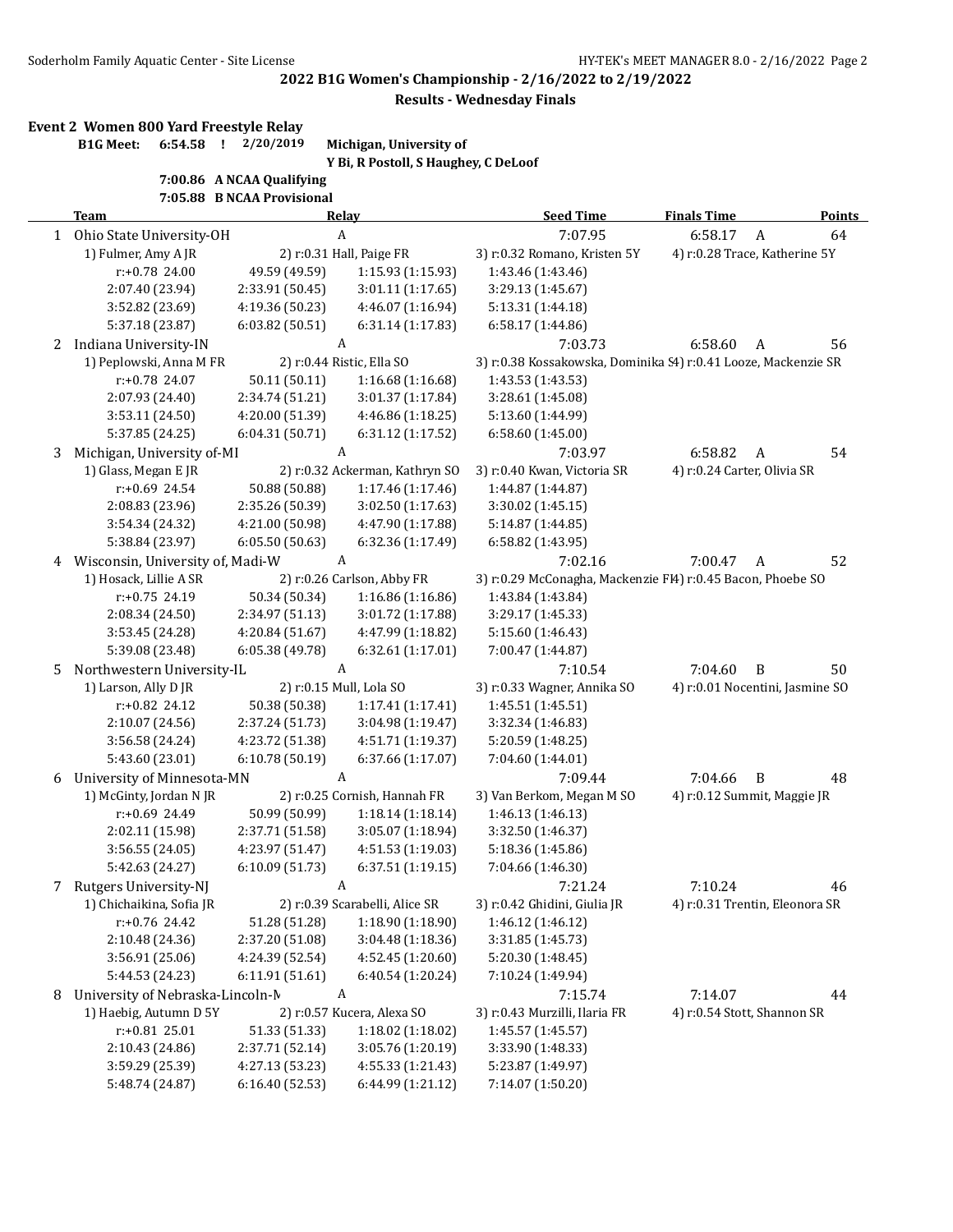**2022 B1G Women's Championship - 2/16/2022 to 2/19/2022**

**Results - Wednesday Finals**

## **Event 2 Women 800 Yard Freestyle Relay**

**B1G Meet: 6:54.58 ! 2/20/2019 Michigan, University of**

**Y Bi, R Postoll, S Haughey, C DeLoof**

**7:00.86 A NCAA Qualifying**

**7:05.88 B NCAA Provisional**

|   | <b>Team</b>                      | Relay                    |                                | <b>Seed Time</b>                                               | <b>Finals Time</b>            | <b>Points</b>                   |
|---|----------------------------------|--------------------------|--------------------------------|----------------------------------------------------------------|-------------------------------|---------------------------------|
|   | 1 Ohio State University-OH       | $\boldsymbol{A}$         |                                | 7:07.95                                                        | 6:58.17                       | $\mathbf{A}$<br>64              |
|   | 1) Fulmer, Amy A JR              | 2) r:0.31 Hall, Paige FR |                                | 3) r:0.32 Romano, Kristen 5Y                                   | 4) r:0.28 Trace, Katherine 5Y |                                 |
|   | r:+0.78 24.00                    | 49.59 (49.59)            | 1:15.93 (1:15.93)              | 1:43.46 (1:43.46)                                              |                               |                                 |
|   | 2:07.40 (23.94)                  | 2:33.91 (50.45)          | 3:01.11 (1:17.65)              | 3:29.13 (1:45.67)                                              |                               |                                 |
|   | 3:52.82 (23.69)                  | 4:19.36 (50.23)          | 4:46.07 (1:16.94)              | 5:13.31 (1:44.18)                                              |                               |                                 |
|   | 5:37.18 (23.87)                  | 6:03.82 (50.51)          | 6:31.14 (1:17.83)              | 6:58.17 (1:44.86)                                              |                               |                                 |
| 2 | Indiana University-IN            |                          | A                              | 7:03.73                                                        | 6:58.60                       | A<br>56                         |
|   | 1) Peplowski, Anna M FR          |                          | 2) r:0.44 Ristic, Ella SO      | 3) r:0.38 Kossakowska, Dominika 54) r:0.41 Looze, Mackenzie SR |                               |                                 |
|   | r:+0.78 24.07                    | 50.11 (50.11)            | 1:16.68(1:16.68)               | 1:43.53 (1:43.53)                                              |                               |                                 |
|   | 2:07.93 (24.40)                  | 2:34.74 (51.21)          | 3:01.37 (1:17.84)              | 3:28.61 (1:45.08)                                              |                               |                                 |
|   | 3:53.11 (24.50)                  | 4:20.00 (51.39)          | 4:46.86 (1:18.25)              | 5:13.60 (1:44.99)                                              |                               |                                 |
|   | 5:37.85 (24.25)                  | 6:04.31 (50.71)          | 6:31.12 (1:17.52)              | 6:58.60 (1:45.00)                                              |                               |                                 |
| 3 | Michigan, University of-MI       |                          | A                              | 7:03.97                                                        | 6:58.82                       | 54<br>A                         |
|   | 1) Glass, Megan E JR             |                          | 2) r:0.32 Ackerman, Kathryn SO | 3) r:0.40 Kwan, Victoria SR                                    | 4) r:0.24 Carter, Olivia SR   |                                 |
|   | $r: +0.69$ 24.54                 | 50.88 (50.88)            | 1:17.46 (1:17.46)              | 1:44.87 (1:44.87)                                              |                               |                                 |
|   | 2:08.83 (23.96)                  | 2:35.26 (50.39)          | 3:02.50 (1:17.63)              | 3:30.02 (1:45.15)                                              |                               |                                 |
|   | 3:54.34 (24.32)                  | 4:21.00 (50.98)          | 4:47.90 (1:17.88)              | 5:14.87 (1:44.85)                                              |                               |                                 |
|   | 5:38.84 (23.97)                  | 6:05.50(50.63)           | 6:32.36 (1:17.49)              | 6:58.82 (1:43.95)                                              |                               |                                 |
| 4 | Wisconsin, University of, Madi-W |                          | A                              | 7:02.16                                                        | 7:00.47                       | 52<br>A                         |
|   | 1) Hosack, Lillie A SR           |                          | 2) r:0.26 Carlson, Abby FR     | 3) r:0.29 McConagha, Mackenzie FI4) r:0.45 Bacon, Phoebe SO    |                               |                                 |
|   | $r: +0.75$ 24.19                 | 50.34 (50.34)            | 1:16.86 (1:16.86)              | 1:43.84 (1:43.84)                                              |                               |                                 |
|   | 2:08.34 (24.50)                  | 2:34.97 (51.13)          | 3:01.72 (1:17.88)              | 3:29.17 (1:45.33)                                              |                               |                                 |
|   | 3:53.45 (24.28)                  | 4:20.84 (51.67)          | 4:47.99 (1:18.82)              | 5:15.60 (1:46.43)                                              |                               |                                 |
|   | 5:39.08 (23.48)                  | 6:05.38 (49.78)          | 6:32.61 (1:17.01)              | 7:00.47 (1:44.87)                                              |                               |                                 |
| 5 | Northwestern University-IL       |                          | A                              | 7:10.54                                                        | 7:04.60                       | B<br>50                         |
|   | 1) Larson, Ally D JR             |                          | 2) r:0.15 Mull, Lola SO        | 3) r:0.33 Wagner, Annika SO                                    |                               | 4) r:0.01 Nocentini, Jasmine SO |
|   | r:+0.82 24.12                    | 50.38 (50.38)            | 1:17.41 (1:17.41)              | 1:45.51 (1:45.51)                                              |                               |                                 |
|   | 2:10.07 (24.56)                  | 2:37.24 (51.73)          | 3:04.98 (1:19.47)              | 3:32.34 (1:46.83)                                              |                               |                                 |
|   | 3:56.58 (24.24)                  | 4:23.72 (51.38)          | 4:51.71 (1:19.37)              | 5:20.59 (1:48.25)                                              |                               |                                 |
|   | 5:43.60 (23.01)                  | 6:10.78 (50.19)          | 6:37.66 (1:17.07)              | 7:04.60 (1:44.01)                                              |                               |                                 |
| 6 | University of Minnesota-MN       |                          | A                              | 7:09.44                                                        | 7:04.66                       | B<br>48                         |
|   | 1) McGinty, Jordan N JR          |                          | 2) r:0.25 Cornish, Hannah FR   | 3) Van Berkom, Megan M SO                                      |                               | 4) r:0.12 Summit, Maggie JR     |
|   | r:+0.69 24.49                    | 50.99 (50.99)            | 1:18.14(1:18.14)               | 1:46.13 (1:46.13)                                              |                               |                                 |
|   | 2:02.11 (15.98)                  | 2:37.71 (51.58)          | 3:05.07 (1:18.94)              | 3:32.50 (1:46.37)                                              |                               |                                 |
|   | 3:56.55 (24.05)                  | 4:23.97 (51.47)          | 4:51.53 (1:19.03)              | 5:18.36 (1:45.86)                                              |                               |                                 |
|   | 5:42.63 (24.27)                  | 6:10.09(51.73)           | 6:37.51 (1:19.15)              | 7:04.66 (1:46.30)                                              |                               |                                 |
| 7 | Rutgers University-NJ            |                          | A                              | 7:21.24                                                        | 7:10.24                       | 46                              |
|   | 1) Chichaikina, Sofia JR         |                          | 2) r:0.39 Scarabelli, Alice SR | 3) r:0.42 Ghidini, Giulia JR                                   |                               | 4) r:0.31 Trentin, Eleonora SR  |
|   | r:+0.76 24.42                    | 51.28 (51.28)            | 1:18.90 (1:18.90)              | 1:46.12 (1:46.12)                                              |                               |                                 |
|   | 2:10.48 (24.36)                  | 2:37.20 (51.08)          | 3:04.48 (1:18.36)              | 3:31.85 (1:45.73)                                              |                               |                                 |
|   | 3:56.91 (25.06)                  | 4:24.39 (52.54)          | 4:52.45 (1:20.60)              | 5:20.30 (1:48.45)                                              |                               |                                 |
|   | 5:44.53 (24.23)                  | 6:11.91(51.61)           | 6:40.54 (1:20.24)              | 7:10.24 (1:49.94)                                              |                               |                                 |
| 8 | University of Nebraska-Lincoln-N |                          | A                              | 7:15.74                                                        | 7:14.07                       | 44                              |
|   | 1) Haebig, Autumn D 5Y           |                          | 2) r:0.57 Kucera, Alexa SO     | 3) r:0.43 Murzilli, Ilaria FR                                  | 4) r:0.54 Stott, Shannon SR   |                                 |
|   | $r: +0.81$ 25.01                 | 51.33 (51.33)            | 1:18.02 (1:18.02)              | 1:45.57 (1:45.57)                                              |                               |                                 |
|   | 2:10.43 (24.86)                  | 2:37.71 (52.14)          | 3:05.76 (1:20.19)              | 3:33.90 (1:48.33)                                              |                               |                                 |
|   | 3:59.29 (25.39)                  | 4:27.13 (53.23)          | 4:55.33 (1:21.43)              | 5:23.87 (1:49.97)                                              |                               |                                 |
|   | 5:48.74 (24.87)                  | 6:16.40 (52.53)          | 6:44.99 (1:21.12)              | 7:14.07 (1:50.20)                                              |                               |                                 |